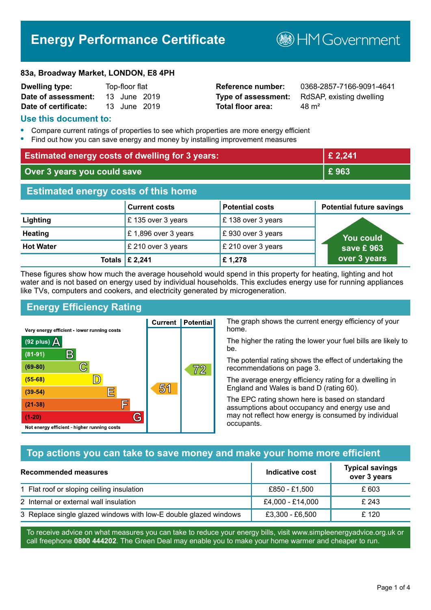# **Energy Performance Certificate**

**B**HMGovernment

#### **83a, Broadway Market, LONDON, E8 4PH**

| <b>Dwelling type:</b> | Top-floor flat |  |
|-----------------------|----------------|--|
| Date of assessment:   | 13 June 2019   |  |
| Date of certificate:  | 13 June 2019   |  |

# **Total floor area:** 48 m<sup>2</sup>

**Reference number:** 0368-2857-7166-9091-4641 **Type of assessment:** RdSAP, existing dwelling

#### **Use this document to:**

- **•** Compare current ratings of properties to see which properties are more energy efficient
- **•** Find out how you can save energy and money by installing improvement measures

| <b>Estimated energy costs of dwelling for 3 years:</b> |                           |                        | £ 2,241                         |
|--------------------------------------------------------|---------------------------|------------------------|---------------------------------|
| Over 3 years you could save                            |                           | £963                   |                                 |
| <b>Estimated energy costs of this home</b>             |                           |                        |                                 |
|                                                        | <b>Current costs</b>      | <b>Potential costs</b> | <b>Potential future savings</b> |
| Lighting                                               | £135 over 3 years         | £138 over 3 years      |                                 |
| <b>Heating</b>                                         | £1,896 over 3 years       | £930 over 3 years      | <b>You could</b>                |
| <b>Hot Water</b>                                       | £ 210 over 3 years        | £ 210 over 3 years     | save £963                       |
|                                                        | Totals $\mathsf{E}$ 2,241 | £1,278                 | over 3 years                    |

These figures show how much the average household would spend in this property for heating, lighting and hot water and is not based on energy used by individual households. This excludes energy use for running appliances like TVs, computers and cookers, and electricity generated by microgeneration.

**Current | Potential** 

51

# **Energy Efficiency Rating**

 $\mathbb{C}$ 

 $\mathbb{D}$ 

E

厏

G

Very energy efficient - lower running costs

 $\mathsf{R}% _{\mathbb{Z}}\left( \mathbb{Z}\right)$ 

Not energy efficient - higher running costs

 $(92$  plus)

 $(81 - 91)$ 

 $(69 - 80)$ 

 $(55-68)$ 

 $(39 - 54)$ 

 $(21-38)$ 

 $(1-20)$ 

- 70

The graph shows the current energy efficiency of your home.

The higher the rating the lower your fuel bills are likely to be.

The potential rating shows the effect of undertaking the recommendations on page 3.

The average energy efficiency rating for a dwelling in England and Wales is band D (rating 60).

The EPC rating shown here is based on standard assumptions about occupancy and energy use and may not reflect how energy is consumed by individual occupants.

# **Top actions you can take to save money and make your home more efficient**

 $\overline{72}$ 

| <b>Recommended measures</b>                                      | Indicative cost  | <b>Typical savings</b><br>over 3 years |
|------------------------------------------------------------------|------------------|----------------------------------------|
| 1 Flat roof or sloping ceiling insulation                        | £850 - £1,500    | £ 603                                  |
| 2 Internal or external wall insulation                           | £4,000 - £14,000 | £ 243                                  |
| 3 Replace single glazed windows with low-E double glazed windows | £3,300 - £6,500  | £ 120                                  |

To receive advice on what measures you can take to reduce your energy bills, visit www.simpleenergyadvice.org.uk or call freephone **0800 444202**. The Green Deal may enable you to make your home warmer and cheaper to run.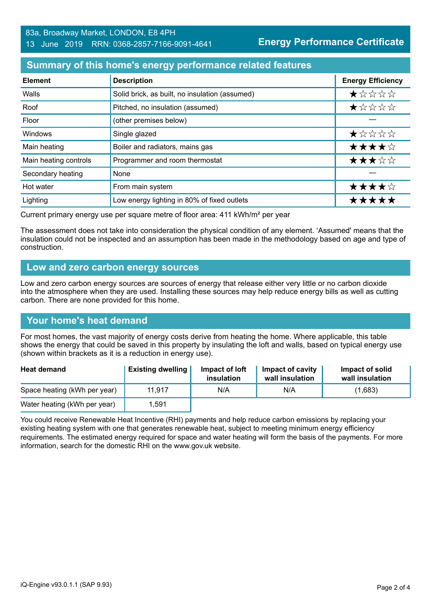### **Summary of this home's energy performance related features**

| <b>Element</b>        | <b>Description</b>                             | <b>Energy Efficiency</b> |
|-----------------------|------------------------------------------------|--------------------------|
| Walls                 | Solid brick, as built, no insulation (assumed) | *****                    |
| Roof                  | Pitched, no insulation (assumed)               | *****                    |
| Floor                 | (other premises below)                         |                          |
| Windows               | Single glazed                                  | $\star$ * * * *          |
| Main heating          | Boiler and radiators, mains gas                | ★★★★☆                    |
| Main heating controls | Programmer and room thermostat                 | ★★★☆☆                    |
| Secondary heating     | None                                           |                          |
| Hot water             | From main system                               | ★★★★☆                    |
| Lighting              | Low energy lighting in 80% of fixed outlets    | *****                    |

Current primary energy use per square metre of floor area: 411 kWh/m² per year

The assessment does not take into consideration the physical condition of any element. 'Assumed' means that the insulation could not be inspected and an assumption has been made in the methodology based on age and type of construction.

#### **Low and zero carbon energy sources**

Low and zero carbon energy sources are sources of energy that release either very little or no carbon dioxide into the atmosphere when they are used. Installing these sources may help reduce energy bills as well as cutting carbon. There are none provided for this home.

#### **Your home's heat demand**

For most homes, the vast majority of energy costs derive from heating the home. Where applicable, this table shows the energy that could be saved in this property by insulating the loft and walls, based on typical energy use (shown within brackets as it is a reduction in energy use).

| <b>Heat demand</b>           | <b>Existing dwelling</b> | Impact of loft<br>insulation | Impact of cavity<br>wall insulation | Impact of solid<br>wall insulation |
|------------------------------|--------------------------|------------------------------|-------------------------------------|------------------------------------|
| Space heating (kWh per year) | 11.917                   | N/A                          | N/A                                 | (1,683)                            |
| Water heating (kWh per year) | 1.591                    |                              |                                     |                                    |

You could receive Renewable Heat Incentive (RHI) payments and help reduce carbon emissions by replacing your existing heating system with one that generates renewable heat, subject to meeting minimum energy efficiency requirements. The estimated energy required for space and water heating will form the basis of the payments. For more information, search for the domestic RHI on the www.gov.uk website.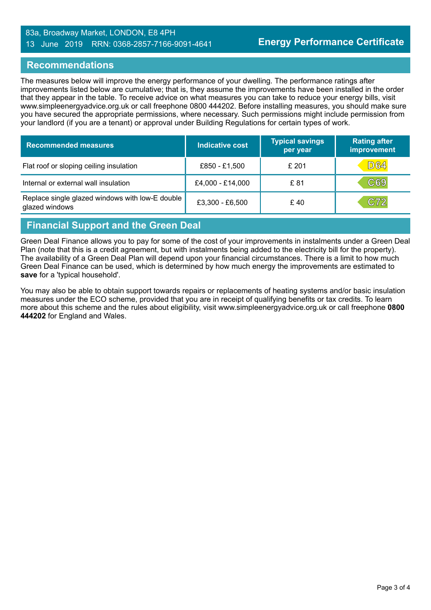#### 83a, Broadway Market, LONDON, E8 4PH 13 June 2019 RRN: 0368-2857-7166-9091-4641

#### **Recommendations**

The measures below will improve the energy performance of your dwelling. The performance ratings after improvements listed below are cumulative; that is, they assume the improvements have been installed in the order that they appear in the table. To receive advice on what measures you can take to reduce your energy bills, visit www.simpleenergyadvice.org.uk or call freephone 0800 444202. Before installing measures, you should make sure you have secured the appropriate permissions, where necessary. Such permissions might include permission from your landlord (if you are a tenant) or approval under Building Regulations for certain types of work.

| <b>Recommended measures</b>                                       | Indicative cost  | Typical savings<br>per year | <b>Rating after</b><br>improvement |
|-------------------------------------------------------------------|------------------|-----------------------------|------------------------------------|
| Flat roof or sloping ceiling insulation                           | £850 - £1,500    | £ 201                       | <b>D64</b>                         |
| Internal or external wall insulation                              | £4,000 - £14,000 | £ 81                        | C69                                |
| Replace single glazed windows with low-E double<br>glazed windows | £3,300 - £6,500  | £40                         | C72                                |

#### **Financial Support and the Green Deal**

Green Deal Finance allows you to pay for some of the cost of your improvements in instalments under a Green Deal Plan (note that this is a credit agreement, but with instalments being added to the electricity bill for the property). The availability of a Green Deal Plan will depend upon your financial circumstances. There is a limit to how much Green Deal Finance can be used, which is determined by how much energy the improvements are estimated to **save** for a 'typical household'.

You may also be able to obtain support towards repairs or replacements of heating systems and/or basic insulation measures under the ECO scheme, provided that you are in receipt of qualifying benefits or tax credits. To learn more about this scheme and the rules about eligibility, visit www.simpleenergyadvice.org.uk or call freephone **0800 444202** for England and Wales.